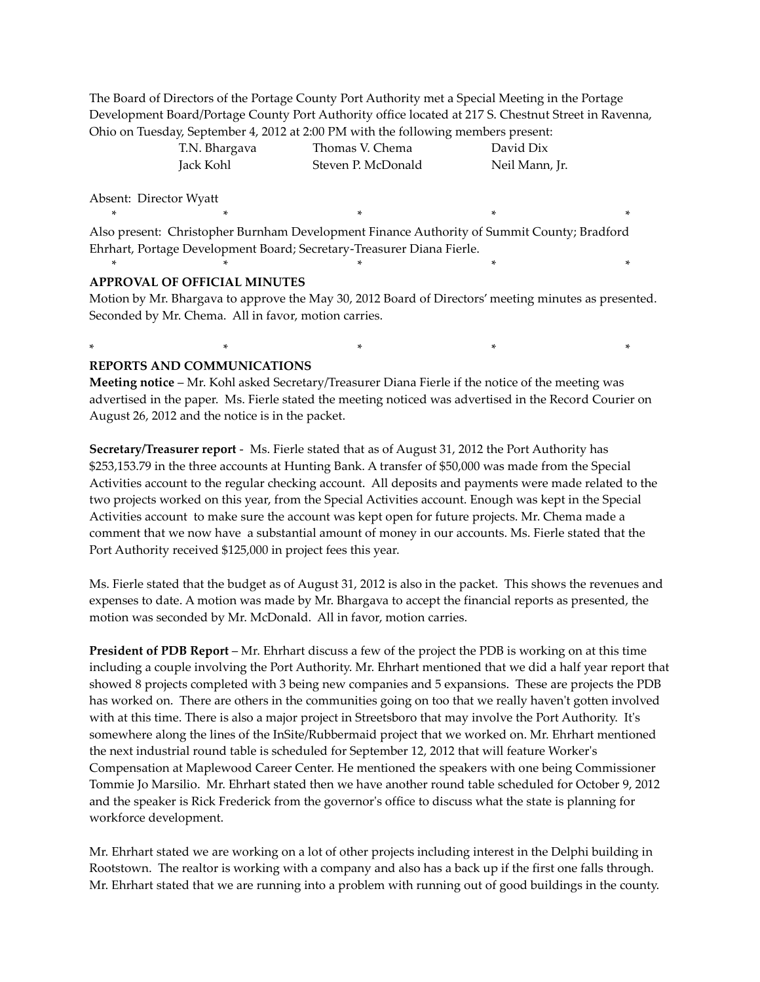The Board of Directors of the Portage County Port Authority met a Special Meeting in the Portage Development Board/Portage County Port Authority office located at 217 S. Chestnut Street in Ravenna, Ohio on Tuesday, September 4, 2012 at 2:00 PM with the following members present:

| T.N. Bhargava | Thomas V. Chema    | David Dix      |
|---------------|--------------------|----------------|
| Jack Kohl     | Steven P. McDonald | Neil Mann, Jr. |

Absent: Director Wyatt

Also present: Christopher Burnham Development Finance Authority of Summit County; Bradford Ehrhart, Portage Development Board; Secretary-Treasurer Diana Fierle.

\* \* \* \* \*

\* \* \* \* \*

#### **APPROVAL OF OFFICIAL MINUTES**

Motion by Mr. Bhargava to approve the May 30, 2012 Board of Directors' meeting minutes as presented. Seconded by Mr. Chema. All in favor, motion carries.

### **REPORTS AND COMMUNICATIONS**

**Meeting notice** – Mr. Kohl asked Secretary/Treasurer Diana Fierle if the notice of the meeting was advertised in the paper. Ms. Fierle stated the meeting noticed was advertised in the Record Courier on August 26, 2012 and the notice is in the packet.

\* \* \* \* \*

**Secretary/Treasurer report** - Ms. Fierle stated that as of August 31, 2012 the Port Authority has \$253,153.79 in the three accounts at Hunting Bank. A transfer of \$50,000 was made from the Special Activities account to the regular checking account. All deposits and payments were made related to the two projects worked on this year, from the Special Activities account. Enough was kept in the Special Activities account to make sure the account was kept open for future projects. Mr. Chema made a comment that we now have a substantial amount of money in our accounts. Ms. Fierle stated that the Port Authority received \$125,000 in project fees this year.

Ms. Fierle stated that the budget as of August 31, 2012 is also in the packet. This shows the revenues and expenses to date. A motion was made by Mr. Bhargava to accept the financial reports as presented, the motion was seconded by Mr. McDonald. All in favor, motion carries.

**President of PDB Report** – Mr. Ehrhart discuss a few of the project the PDB is working on at this time including a couple involving the Port Authority. Mr. Ehrhart mentioned that we did a half year report that showed 8 projects completed with 3 being new companies and 5 expansions. These are projects the PDB has worked on. There are others in the communities going on too that we really haven't gotten involved with at this time. There is also a major project in Streetsboro that may involve the Port Authority. It's somewhere along the lines of the InSite/Rubbermaid project that we worked on. Mr. Ehrhart mentioned the next industrial round table is scheduled for September 12, 2012 that will feature Worker's Compensation at Maplewood Career Center. He mentioned the speakers with one being Commissioner Tommie Jo Marsilio. Mr. Ehrhart stated then we have another round table scheduled for October 9, 2012 and the speaker is Rick Frederick from the governor's office to discuss what the state is planning for workforce development.

Mr. Ehrhart stated we are working on a lot of other projects including interest in the Delphi building in Rootstown. The realtor is working with a company and also has a back up if the first one falls through. Mr. Ehrhart stated that we are running into a problem with running out of good buildings in the county.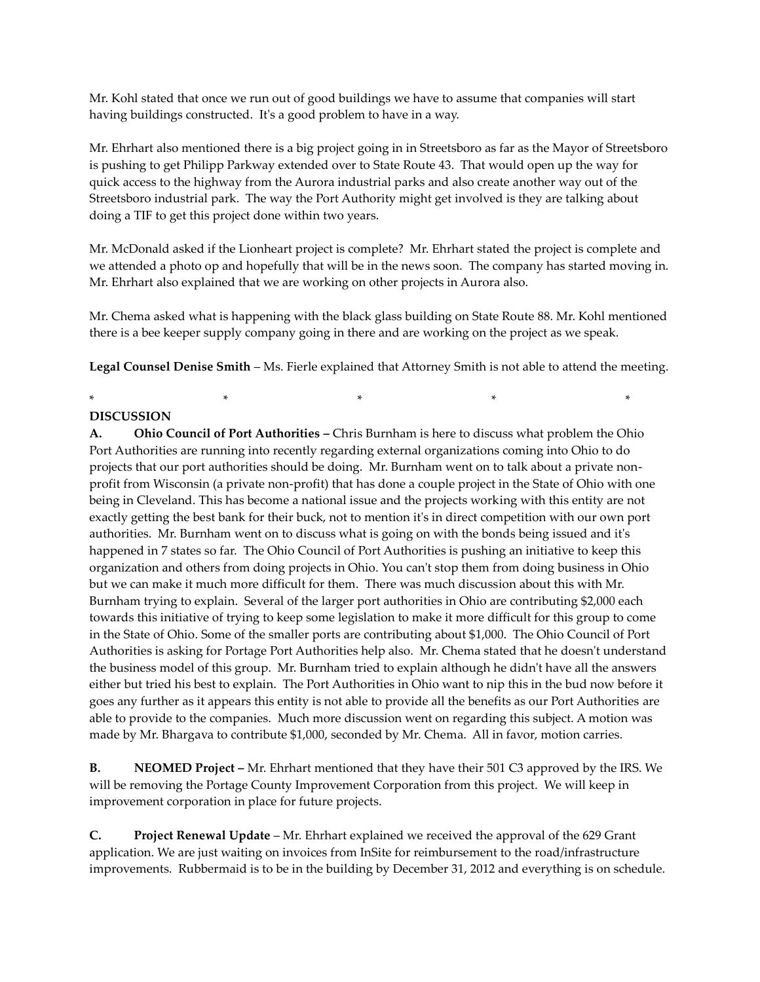Mr. Kohl stated that once we run out of good buildings we have to assume that companies will start having buildings constructed. It's a good problem to have in a way.

Mr. Ehrhart also mentioned there is a big project going in in Streetsboro as far as the Mayor of Streetsboro is pushing to get Philipp Parkway extended over to State Route 43. That would open up the way for quick access to the highway from the Aurora industrial parks and also create another way out of the Streetsboro industrial park. The way the Port Authority might get involved is they are talking about doing a TIF to get this project done within two years.

Mr. McDonald asked if the Lionheart project is complete? Mr. Ehrhart stated the project is complete and we attended a photo op and hopefully that will be in the news soon. The company has started moving in. Mr. Ehrhart also explained that we are working on other projects in Aurora also.

Mr. Chema asked what is happening with the black glass building on State Route 88. Mr. Kohl mentioned there is a bee keeper supply company going in there and are working on the project as we speak.

**Legal Counsel Denise Smith** – Ms. Fierle explained that Attorney Smith is not able to attend the meeting.

\* \* \* \* \*

### **DISCUSSION**

**A. Ohio Council of Port Authorities –** Chris Burnham is here to discuss what problem the Ohio Port Authorities are running into recently regarding external organizations coming into Ohio to do projects that our port authorities should be doing. Mr. Burnham went on to talk about a private nonprofit from Wisconsin (a private non-profit) that has done a couple project in the State of Ohio with one being in Cleveland. This has become a national issue and the projects working with this entity are not exactly getting the best bank for their buck, not to mention it's in direct competition with our own port authorities. Mr. Burnham went on to discuss what is going on with the bonds being issued and it's happened in 7 states so far. The Ohio Council of Port Authorities is pushing an initiative to keep this organization and others from doing projects in Ohio. You can't stop them from doing business in Ohio but we can make it much more difficult for them. There was much discussion about this with Mr. Burnham trying to explain. Several of the larger port authorities in Ohio are contributing \$2,000 each towards this initiative of trying to keep some legislation to make it more difficult for this group to come in the State of Ohio. Some of the smaller ports are contributing about \$1,000. The Ohio Council of Port Authorities is asking for Portage Port Authorities help also. Mr. Chema stated that he doesn't understand the business model of this group. Mr. Burnham tried to explain although he didn't have all the answers either but tried his best to explain. The Port Authorities in Ohio want to nip this in the bud now before it goes any further as it appears this entity is not able to provide all the benefits as our Port Authorities are able to provide to the companies. Much more discussion went on regarding this subject. A motion was made by Mr. Bhargava to contribute \$1,000, seconded by Mr. Chema. All in favor, motion carries.

**B. NEOMED Project –** Mr. Ehrhart mentioned that they have their 501 C3 approved by the IRS. We will be removing the Portage County Improvement Corporation from this project. We will keep in improvement corporation in place for future projects.

**C. Project Renewal Update** – Mr. Ehrhart explained we received the approval of the 629 Grant application. We are just waiting on invoices from InSite for reimbursement to the road/infrastructure improvements. Rubbermaid is to be in the building by December 31, 2012 and everything is on schedule.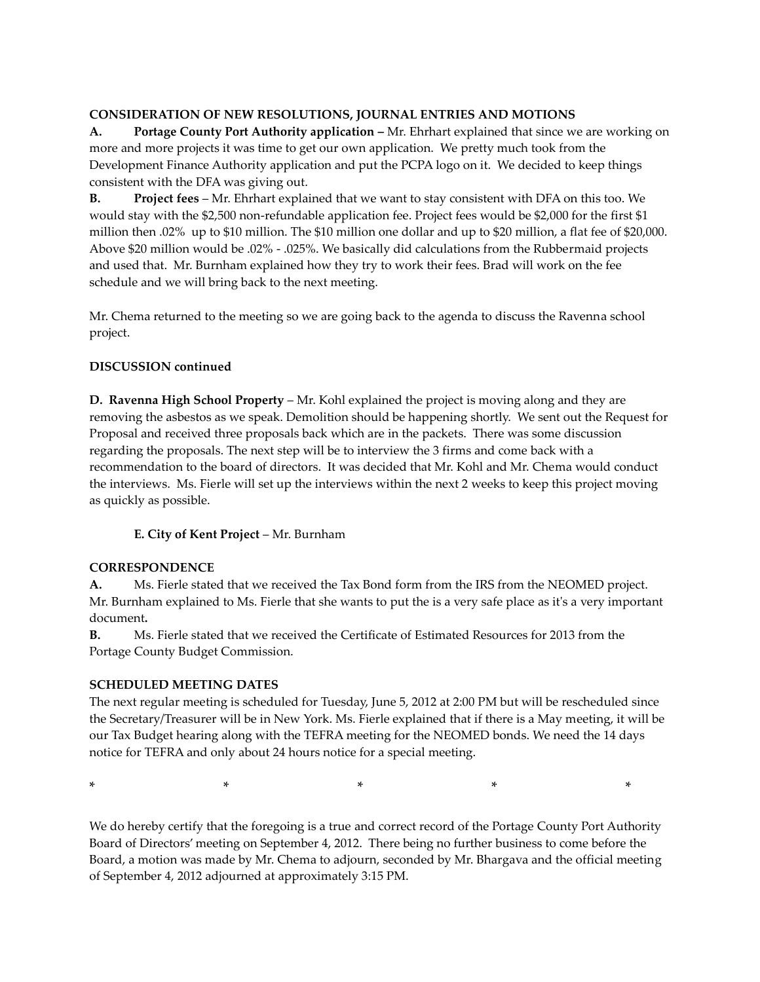## **CONSIDERATION OF NEW RESOLUTIONS, JOURNAL ENTRIES AND MOTIONS**

**A. Portage County Port Authority application –** Mr. Ehrhart explained that since we are working on more and more projects it was time to get our own application. We pretty much took from the Development Finance Authority application and put the PCPA logo on it. We decided to keep things consistent with the DFA was giving out.

**B. Project fees** – Mr. Ehrhart explained that we want to stay consistent with DFA on this too. We would stay with the \$2,500 non-refundable application fee. Project fees would be \$2,000 for the first \$1 million then .02% up to \$10 million. The \$10 million one dollar and up to \$20 million, a flat fee of \$20,000. Above \$20 million would be .02% - .025%. We basically did calculations from the Rubbermaid projects and used that. Mr. Burnham explained how they try to work their fees. Brad will work on the fee schedule and we will bring back to the next meeting.

Mr. Chema returned to the meeting so we are going back to the agenda to discuss the Ravenna school project.

## **DISCUSSION continued**

**D. Ravenna High School Property** – Mr. Kohl explained the project is moving along and they are removing the asbestos as we speak. Demolition should be happening shortly. We sent out the Request for Proposal and received three proposals back which are in the packets. There was some discussion regarding the proposals. The next step will be to interview the 3 firms and come back with a recommendation to the board of directors. It was decided that Mr. Kohl and Mr. Chema would conduct the interviews. Ms. Fierle will set up the interviews within the next 2 weeks to keep this project moving as quickly as possible.

## **E. City of Kent Project** – Mr. Burnham

## **CORRESPONDENCE**

**A.** Ms. Fierle stated that we received the Tax Bond form from the IRS from the NEOMED project. Mr. Burnham explained to Ms. Fierle that she wants to put the is a very safe place as it's a very important document**.**

**B.** Ms. Fierle stated that we received the Certificate of Estimated Resources for 2013 from the Portage County Budget Commission.

# **SCHEDULED MEETING DATES**

The next regular meeting is scheduled for Tuesday, June 5, 2012 at 2:00 PM but will be rescheduled since the Secretary/Treasurer will be in New York. Ms. Fierle explained that if there is a May meeting, it will be our Tax Budget hearing along with the TEFRA meeting for the NEOMED bonds. We need the 14 days notice for TEFRA and only about 24 hours notice for a special meeting.

\* \* \* \* \*

We do hereby certify that the foregoing is a true and correct record of the Portage County Port Authority Board of Directors' meeting on September 4, 2012. There being no further business to come before the Board, a motion was made by Mr. Chema to adjourn, seconded by Mr. Bhargava and the official meeting of September 4, 2012 adjourned at approximately 3:15 PM.